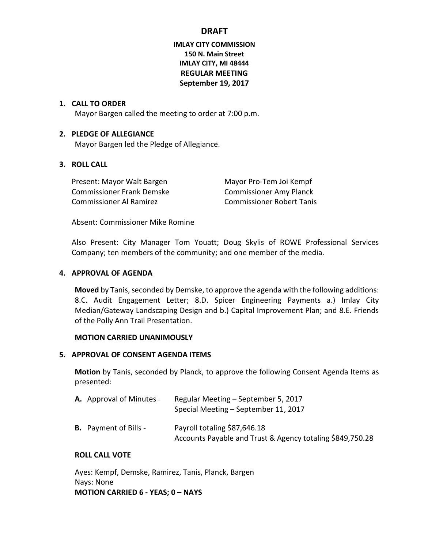## **IMLAY CITY COMMISSION 150 N. Main Street IMLAY CITY, MI 48444 REGULAR MEETING September 19, 2017**

### **1. CALL TO ORDER**

Mayor Bargen called the meeting to order at 7:00 p.m.

### **2. PLEDGE OF ALLEGIANCE**

Mayor Bargen led the Pledge of Allegiance.

### **3. ROLL CALL**

Present: Mayor Walt Bargen Mayor Pro-Tem Joi Kempf Commissioner Frank Demske Commissioner Amy Planck Commissioner Al Ramirez Commissioner Robert Tanis

Absent: Commissioner Mike Romine

Also Present: City Manager Tom Youatt; Doug Skylis of ROWE Professional Services Company; ten members of the community; and one member of the media.

### **4. APPROVAL OF AGENDA**

**Moved** by Tanis, seconded by Demske, to approve the agenda with the following additions: 8.C. Audit Engagement Letter; 8.D. Spicer Engineering Payments a.) Imlay City Median/Gateway Landscaping Design and b.) Capital Improvement Plan; and 8.E. Friends of the Polly Ann Trail Presentation.

#### **MOTION CARRIED UNANIMOUSLY**

### **5. APPROVAL OF CONSENT AGENDA ITEMS**

**Motion** by Tanis, seconded by Planck, to approve the following Consent Agenda Items as presented:

| <b>A.</b> Approval of Minutes – | Regular Meeting – September 5, 2017<br>Special Meeting – September 11, 2017               |
|---------------------------------|-------------------------------------------------------------------------------------------|
| <b>B.</b> Payment of Bills -    | Payroll totaling \$87,646.18<br>Accounts Payable and Trust & Agency totaling \$849,750.28 |

#### **ROLL CALL VOTE**

Ayes: Kempf, Demske, Ramirez, Tanis, Planck, Bargen Nays: None **MOTION CARRIED 6 - YEAS; 0 – NAYS**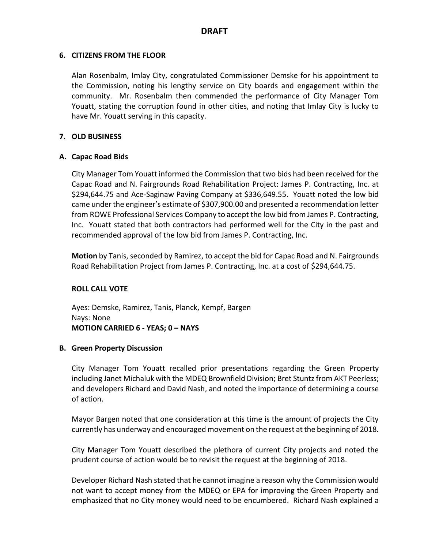### **6. CITIZENS FROM THE FLOOR**

Alan Rosenbalm, Imlay City, congratulated Commissioner Demske for his appointment to the Commission, noting his lengthy service on City boards and engagement within the community. Mr. Rosenbalm then commended the performance of City Manager Tom Youatt, stating the corruption found in other cities, and noting that Imlay City is lucky to have Mr. Youatt serving in this capacity.

### **7. OLD BUSINESS**

### **A. Capac Road Bids**

City Manager Tom Youatt informed the Commission that two bids had been received for the Capac Road and N. Fairgrounds Road Rehabilitation Project: James P. Contracting, Inc. at \$294,644.75 and Ace-Saginaw Paving Company at \$336,649.55. Youatt noted the low bid came under the engineer's estimate of \$307,900.00 and presented a recommendation letter from ROWE Professional Services Company to accept the low bid from James P. Contracting, Inc. Youatt stated that both contractors had performed well for the City in the past and recommended approval of the low bid from James P. Contracting, Inc.

**Motion** by Tanis, seconded by Ramirez, to accept the bid for Capac Road and N. Fairgrounds Road Rehabilitation Project from James P. Contracting, Inc. at a cost of \$294,644.75.

### **ROLL CALL VOTE**

Ayes: Demske, Ramirez, Tanis, Planck, Kempf, Bargen Nays: None **MOTION CARRIED 6 - YEAS; 0 – NAYS**

#### **B. Green Property Discussion**

City Manager Tom Youatt recalled prior presentations regarding the Green Property including Janet Michaluk with the MDEQ Brownfield Division; Bret Stuntz from AKT Peerless; and developers Richard and David Nash, and noted the importance of determining a course of action.

Mayor Bargen noted that one consideration at this time is the amount of projects the City currently has underway and encouraged movement on the request at the beginning of 2018.

City Manager Tom Youatt described the plethora of current City projects and noted the prudent course of action would be to revisit the request at the beginning of 2018.

Developer Richard Nash stated that he cannot imagine a reason why the Commission would not want to accept money from the MDEQ or EPA for improving the Green Property and emphasized that no City money would need to be encumbered. Richard Nash explained a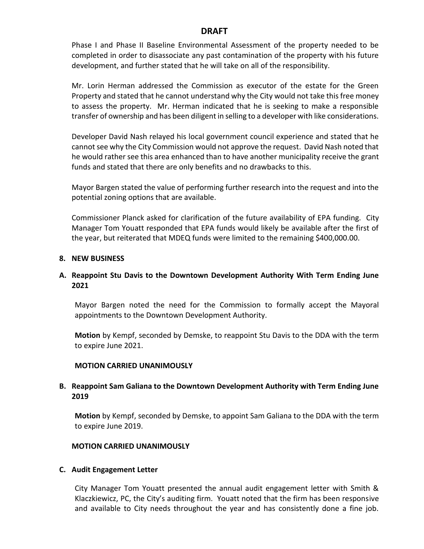Phase I and Phase II Baseline Environmental Assessment of the property needed to be completed in order to disassociate any past contamination of the property with his future development, and further stated that he will take on all of the responsibility.

Mr. Lorin Herman addressed the Commission as executor of the estate for the Green Property and stated that he cannot understand why the City would not take this free money to assess the property. Mr. Herman indicated that he is seeking to make a responsible transfer of ownership and has been diligent in selling to a developer with like considerations.

Developer David Nash relayed his local government council experience and stated that he cannot see why the City Commission would not approve the request. David Nash noted that he would rather see this area enhanced than to have another municipality receive the grant funds and stated that there are only benefits and no drawbacks to this.

Mayor Bargen stated the value of performing further research into the request and into the potential zoning options that are available.

Commissioner Planck asked for clarification of the future availability of EPA funding. City Manager Tom Youatt responded that EPA funds would likely be available after the first of the year, but reiterated that MDEQ funds were limited to the remaining \$400,000.00.

#### **8. NEW BUSINESS**

### **A. Reappoint Stu Davis to the Downtown Development Authority With Term Ending June 2021**

Mayor Bargen noted the need for the Commission to formally accept the Mayoral appointments to the Downtown Development Authority.

**Motion** by Kempf, seconded by Demske, to reappoint Stu Davis to the DDA with the term to expire June 2021.

#### **MOTION CARRIED UNANIMOUSLY**

### **B. Reappoint Sam Galiana to the Downtown Development Authority with Term Ending June 2019**

**Motion** by Kempf, seconded by Demske, to appoint Sam Galiana to the DDA with the term to expire June 2019.

#### **MOTION CARRIED UNANIMOUSLY**

#### **C. Audit Engagement Letter**

City Manager Tom Youatt presented the annual audit engagement letter with Smith & Klaczkiewicz, PC, the City's auditing firm. Youatt noted that the firm has been responsive and available to City needs throughout the year and has consistently done a fine job.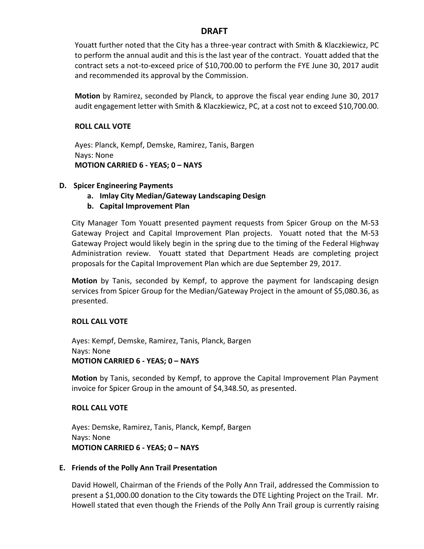Youatt further noted that the City has a three-year contract with Smith & Klaczkiewicz, PC to perform the annual audit and this is the last year of the contract. Youatt added that the contract sets a not-to-exceed price of \$10,700.00 to perform the FYE June 30, 2017 audit and recommended its approval by the Commission.

**Motion** by Ramirez, seconded by Planck, to approve the fiscal year ending June 30, 2017 audit engagement letter with Smith & Klaczkiewicz, PC, at a cost not to exceed \$10,700.00.

### **ROLL CALL VOTE**

Ayes: Planck, Kempf, Demske, Ramirez, Tanis, Bargen Nays: None **MOTION CARRIED 6 - YEAS; 0 – NAYS**

## **D. Spicer Engineering Payments**

- **a. Imlay City Median/Gateway Landscaping Design**
- **b. Capital Improvement Plan**

City Manager Tom Youatt presented payment requests from Spicer Group on the M-53 Gateway Project and Capital Improvement Plan projects. Youatt noted that the M-53 Gateway Project would likely begin in the spring due to the timing of the Federal Highway Administration review. Youatt stated that Department Heads are completing project proposals for the Capital Improvement Plan which are due September 29, 2017.

**Motion** by Tanis, seconded by Kempf, to approve the payment for landscaping design services from Spicer Group for the Median/Gateway Project in the amount of \$5,080.36, as presented.

## **ROLL CALL VOTE**

Ayes: Kempf, Demske, Ramirez, Tanis, Planck, Bargen Nays: None **MOTION CARRIED 6 - YEAS; 0 – NAYS**

**Motion** by Tanis, seconded by Kempf, to approve the Capital Improvement Plan Payment invoice for Spicer Group in the amount of \$4,348.50, as presented.

### **ROLL CALL VOTE**

Ayes: Demske, Ramirez, Tanis, Planck, Kempf, Bargen Nays: None **MOTION CARRIED 6 - YEAS; 0 – NAYS**

### **E. Friends of the Polly Ann Trail Presentation**

David Howell, Chairman of the Friends of the Polly Ann Trail, addressed the Commission to present a \$1,000.00 donation to the City towards the DTE Lighting Project on the Trail. Mr. Howell stated that even though the Friends of the Polly Ann Trail group is currently raising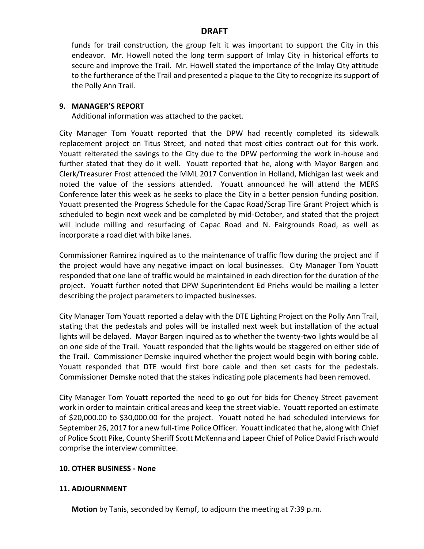funds for trail construction, the group felt it was important to support the City in this endeavor. Mr. Howell noted the long term support of Imlay City in historical efforts to secure and improve the Trail. Mr. Howell stated the importance of the Imlay City attitude to the furtherance of the Trail and presented a plaque to the City to recognize its support of the Polly Ann Trail.

#### **9. MANAGER'S REPORT**

Additional information was attached to the packet.

City Manager Tom Youatt reported that the DPW had recently completed its sidewalk replacement project on Titus Street, and noted that most cities contract out for this work. Youatt reiterated the savings to the City due to the DPW performing the work in-house and further stated that they do it well. Youatt reported that he, along with Mayor Bargen and Clerk/Treasurer Frost attended the MML 2017 Convention in Holland, Michigan last week and noted the value of the sessions attended. Youatt announced he will attend the MERS Conference later this week as he seeks to place the City in a better pension funding position. Youatt presented the Progress Schedule for the Capac Road/Scrap Tire Grant Project which is scheduled to begin next week and be completed by mid-October, and stated that the project will include milling and resurfacing of Capac Road and N. Fairgrounds Road, as well as incorporate a road diet with bike lanes.

Commissioner Ramirez inquired as to the maintenance of traffic flow during the project and if the project would have any negative impact on local businesses. City Manager Tom Youatt responded that one lane of traffic would be maintained in each direction for the duration of the project. Youatt further noted that DPW Superintendent Ed Priehs would be mailing a letter describing the project parameters to impacted businesses.

City Manager Tom Youatt reported a delay with the DTE Lighting Project on the Polly Ann Trail, stating that the pedestals and poles will be installed next week but installation of the actual lights will be delayed. Mayor Bargen inquired as to whether the twenty-two lights would be all on one side of the Trail. Youatt responded that the lights would be staggered on either side of the Trail. Commissioner Demske inquired whether the project would begin with boring cable. Youatt responded that DTE would first bore cable and then set casts for the pedestals. Commissioner Demske noted that the stakes indicating pole placements had been removed.

City Manager Tom Youatt reported the need to go out for bids for Cheney Street pavement work in order to maintain critical areas and keep the street viable. Youatt reported an estimate of \$20,000.00 to \$30,000.00 for the project. Youatt noted he had scheduled interviews for September 26, 2017 for a new full-time Police Officer. Youatt indicated that he, along with Chief of Police Scott Pike, County Sheriff Scott McKenna and Lapeer Chief of Police David Frisch would comprise the interview committee.

#### **10. OTHER BUSINESS - None**

#### **11. ADJOURNMENT**

**Motion** by Tanis, seconded by Kempf, to adjourn the meeting at 7:39 p.m.